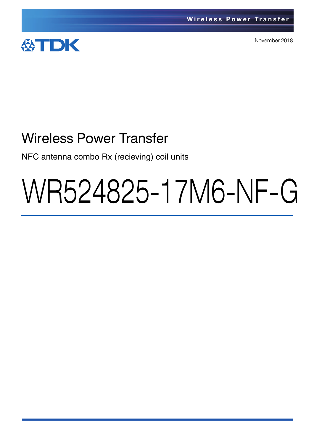

November 2018

# Wireless Power Transfer

NFC antenna combo Rx (recieving) coil units

# WR524825-17M6-NF-G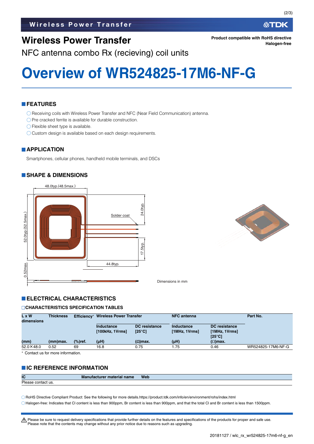## **Wireless Power Transfer**

NFC antenna combo Rx (recieving) coil units

## **Overview of WR524825-17M6-NF-G**

#### **FEATURES**

Receiving coils with Wireless Power Transfer and NFC (Near Field Communication) antenna.

- $\bigcirc$  Pre cracked ferrite is available for durable construction.
- Flexible sheet type is available.
- O Custom design is available based on each design requirements.

#### **APPLICATION**

Smartphones, cellular phones, handheld mobile terminals, and DSCs

#### **SHAPE & DIMENSIONS**





**Product compatible with RoHS directive**

Dimensions in mm

#### **ELECTRICAL CHARACTERISTICS**

#### **CHARACTERISTICS SPECIFICATION TABLES**

| L x W<br>dimensions | <b>Thickness</b> | Efficiency*        | Wireless Power Transfer       |                                         | <b>NFC</b> antenna          |                                                          | Part No.           |
|---------------------|------------------|--------------------|-------------------------------|-----------------------------------------|-----------------------------|----------------------------------------------------------|--------------------|
|                     |                  |                    | Inductance<br>[100kHz, 1Vrms] | <b>DC</b> resistance<br>$[25^{\circ}C]$ | Inductance<br>[1MHz, 1Vrms] | <b>DC</b> resistance<br>[1MHz, 1Vrms]<br>$[25^{\circ}C]$ |                    |
| (mm)                | (mm)max.         | $\frac{9}{6}$ ref. | $(\mu H)$                     | $(Ω)$ max.                              | $(\mu H)$                   | $(\Omega)$ max.                                          |                    |
| $52.0 \times 48.0$  | 0.52             | 69                 | 16.8                          | 0.75                                    | l.75                        | 0.46                                                     | WR524825-17M6-NF-G |

Contact us for more information.

#### **IC REFERENCE INFORMATION**

| IC                      | <b>Manufacture</b><br><sup>.</sup> material name | <b>Web</b> |
|-------------------------|--------------------------------------------------|------------|
| Please<br>e contact us. |                                                  |            |

RoHS Directive Compliant Product: See the following for more details.https://product.tdk.com/info/en/environment/rohs/index.html

Halogen-free: Indicates that Cl content is less than 900ppm, Br content is less than 900ppm, and that the total Cl and Br content is less than 1500ppm.

A Please be sure to request delivery specifications that provide further details on the features and specifications of the products for proper and safe use. Please note that the contents may change without any prior notice due to reasons such as upgrading.

**Halogen-free**

∰TDK